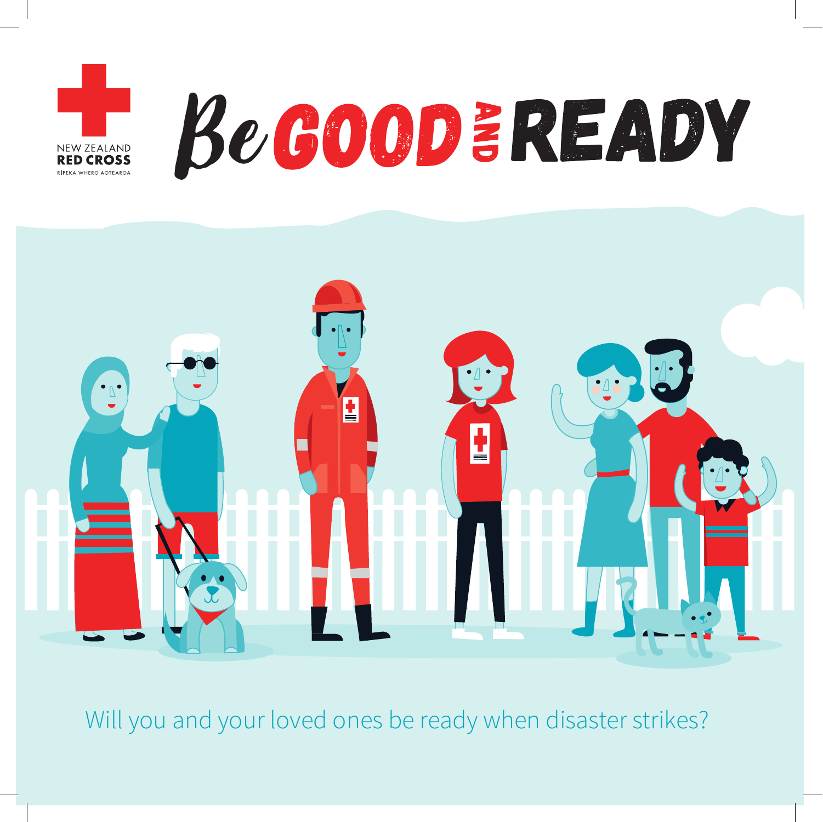



Will you and your loved ones be ready when disaster strikes?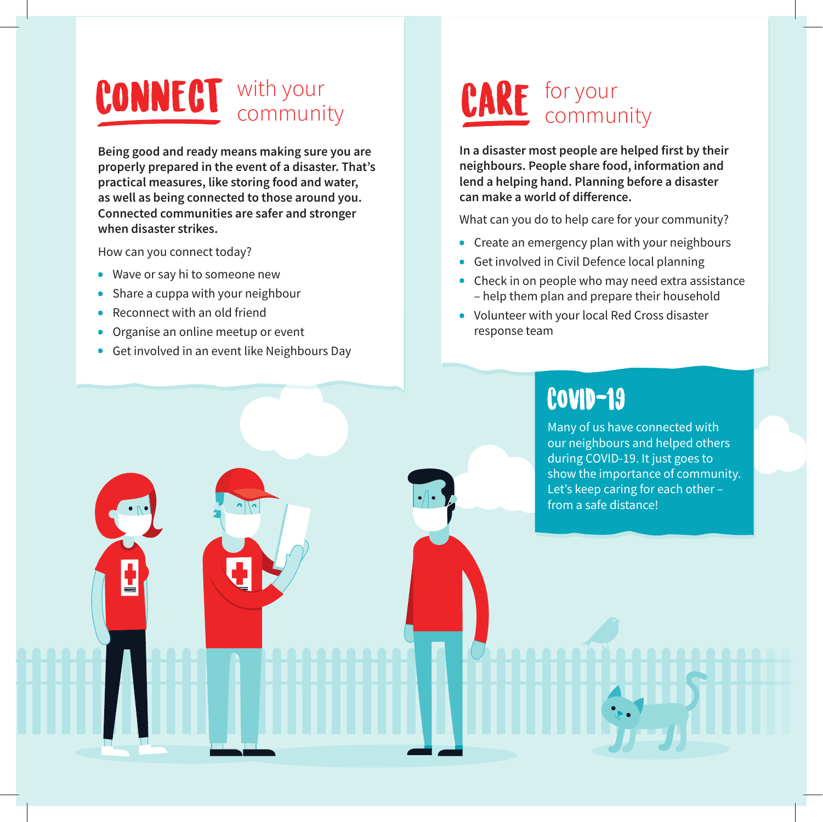### with your CONNECT with your community CARE for your

**Being good and ready means making sure you are properly prepared in the event of a disaster. That's practical measures, like storing food and water, as well as being connected to those around you. Connected communities are safer and stronger when disaster strikes.**

How can you connect today?

- . Wave or say hi to someone new
- Share a cuppa with your neighbour
- . Reconnect with an old friend
- . Organise an online meetup or event
- . Get involved in an event like Neighbours Day

## CARE for your

**In a disaster most people are helped first by their neighbours. People share food, information and lend a helping hand. Planning before a disaster**  can make a world of difference.

What can you do to help care for your community?

- . Create an emergency plan with your neighbours
- . Get involved in Civil Defence local planning
- . Check in on people who may need extra assistance – help them plan and prepare their household
- . Volunteer with your local Red Cross disaster response team

### COVID-19

Many of us have connected with our neighbours and helped others during COVID-19. It just goes to show the importance of community. Let's keep caring for each other – from a safe distance!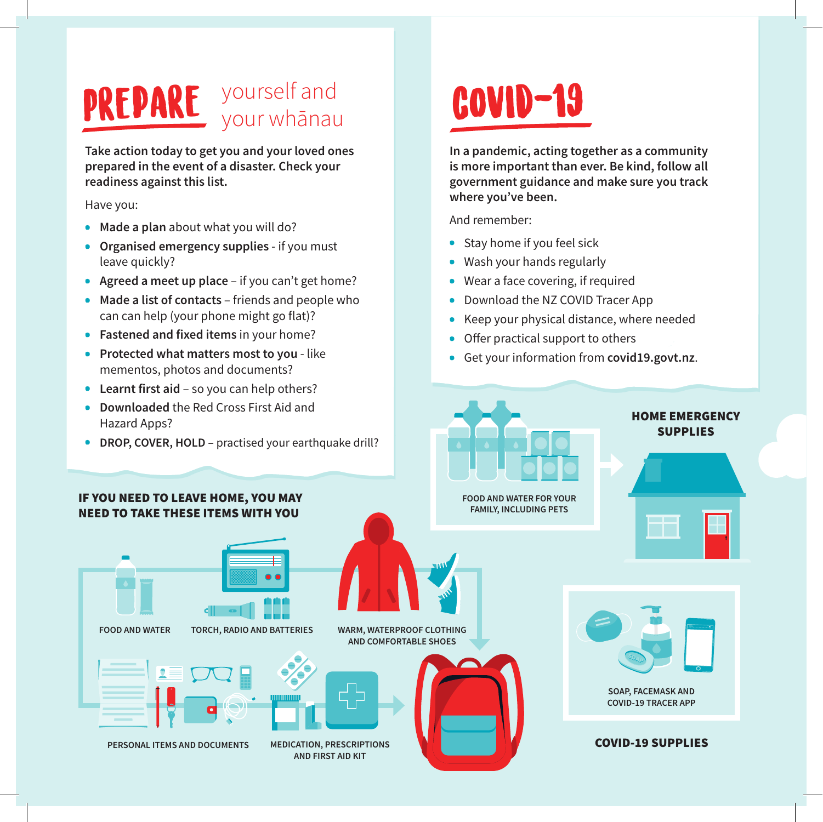# PREPARE yourself and **COVID-19**

**Take action today to get you and your loved ones prepared in the event of a disaster. Check your readiness against this list.** 

### Have you:

- . **Made a plan** about what you will do?
- . **Organised emergency supplies** if you must leave quickly?
- . **Agreed a meet up place** if you can't get home?
- . **Made a list of contacts** friends and people who can can help (your phone might go flat)?
- . **Fastened and fixed items** in your home?
- . **Protected what matters most to you**  like mementos, photos and documents?
- . **Learnt first aid** so you can help others?
- . **Downloaded** the Red Cross First Aid and Hazard Apps?

**In a pandemic, acting together as a community is more important than ever. Be kind, follow all government guidance and make sure you track where you've been.**

And remember:

- . Stay home if you feel sick
- . Wash your hands regularly
- . Wear a face covering, if required
- . Download the NZ COVID Tracer App
- . Keep your physical distance, where needed
- $\bullet$  Offer practical support to others
- . Get your information from **covid19.govt.nz**.